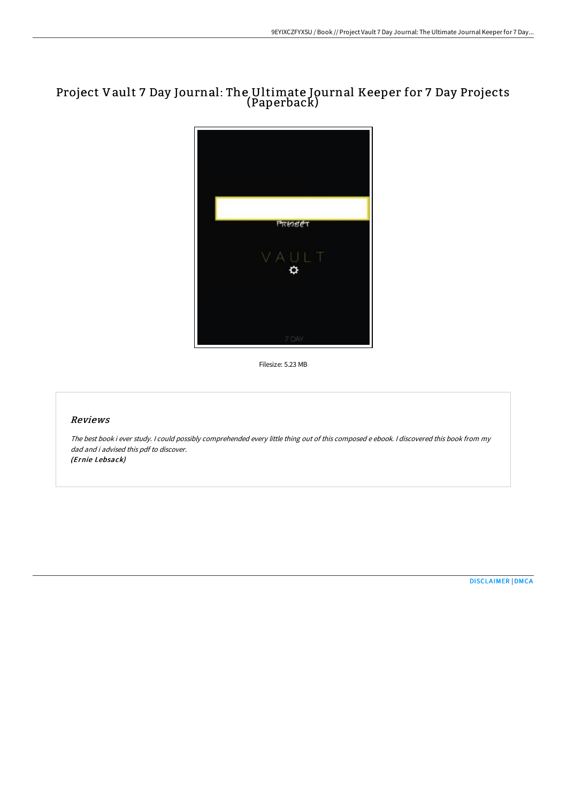# Project Vault 7 Day Journal: The Ultimate Journal Keeper for 7 Day Projects (Paperback)



Filesize: 5.23 MB

## Reviews

The best book i ever study. <sup>I</sup> could possibly comprehended every little thing out of this composed <sup>e</sup> ebook. <sup>I</sup> discovered this book from my dad and i advised this pdf to discover. (Ernie Lebsack)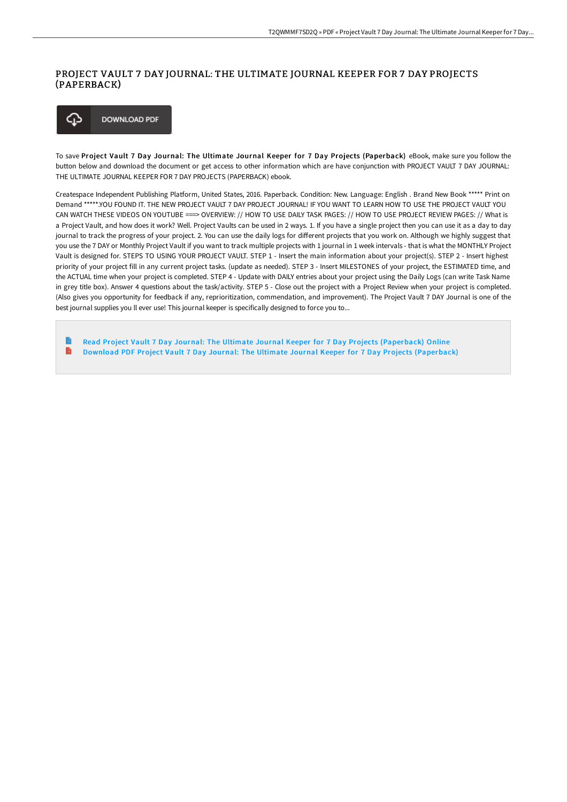## PROJECT VAULT 7 DAY JOURNAL: THE ULTIMATE JOURNAL KEEPER FOR 7 DAY PROJECTS (PAPERBACK)



To save Project Vault 7 Day Journal: The Ultimate Journal Keeper for 7 Day Projects (Paperback) eBook, make sure you follow the button below and download the document or get access to other information which are have conjunction with PROJECT VAULT 7 DAY JOURNAL: THE ULTIMATE JOURNAL KEEPER FOR 7 DAY PROJECTS (PAPERBACK) ebook.

Createspace Independent Publishing Platform, United States, 2016. Paperback. Condition: New. Language: English . Brand New Book \*\*\*\*\* Print on Demand \*\*\*\*\*.YOU FOUND IT. THE NEW PROJECT VAULT 7 DAY PROJECT JOURNAL! IF YOU WANT TO LEARN HOW TO USE THE PROJECT VAULT YOU CAN WATCH THESE VIDEOS ON YOUTUBE ===> OVERVIEW: // HOW TO USE DAILY TASK PAGES: // HOW TO USE PROJECT REVIEW PAGES: // What is a Project Vault, and how does it work? Well. Project Vaults can be used in 2 ways. 1. If you have a single project then you can use it as a day to day journal to track the progress of your project. 2. You can use the daily logs for different projects that you work on. Although we highly suggest that you use the 7 DAY or Monthly Project Vault if you want to track multiple projects with 1 journal in 1 week intervals - that is what the MONTHLY Project Vault is designed for. STEPS TO USING YOUR PROJECT VAULT. STEP 1 - Insert the main information about your project(s). STEP 2 - Insert highest priority of your project fill in any current project tasks. (update as needed). STEP 3 - Insert MILESTONES of your project, the ESTIMATED time, and the ACTUAL time when your project is completed. STEP 4 - Update with DAILY entries about your project using the Daily Logs (can write Task Name in grey title box). Answer 4 questions about the task/activity. STEP 5 - Close out the project with a Project Review when your project is completed. (Also gives you opportunity for feedback if any, reprioritization, commendation, and improvement). The Project Vault 7 DAY Journal is one of the best journal supplies you ll ever use! This journal keeper is specifically designed to force you to...

B Read Project Vault 7 Day Journal: The Ultimate Journal Keeper for 7 Day Projects [\(Paperback\)](http://techno-pub.tech/project-vault-7-day-journal-the-ultimate-journal.html) Online B Download PDF Project Vault 7 Day Journal: The Ultimate Journal Keeper for 7 Day Projects [\(Paperback\)](http://techno-pub.tech/project-vault-7-day-journal-the-ultimate-journal.html)